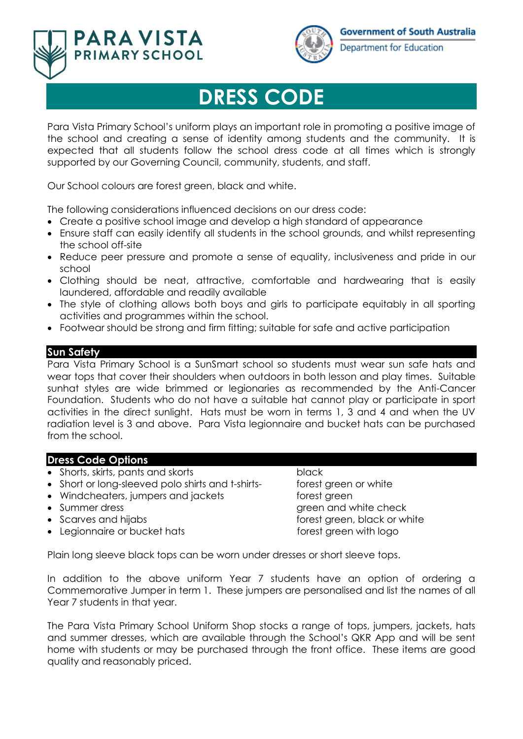



Department for Education

# **DRESS CODE**

Para Vista Primary School's uniform plays an important role in promoting a positive image of the school and creating a sense of identity among students and the community. It is expected that all students follow the school dress code at all times which is strongly supported by our Governing Council, community, students, and staff.

Our School colours are forest green, black and white.

The following considerations influenced decisions on our dress code:

- Create a positive school image and develop a high standard of appearance
- Ensure staff can easily identify all students in the school grounds, and whilst representing the school off-site
- Reduce peer pressure and promote a sense of equality, inclusiveness and pride in our school
- Clothing should be neat, attractive, comfortable and hardwearing that is easily laundered, affordable and readily available
- The style of clothing allows both boys and girls to participate equitably in all sporting activities and programmes within the school.
- Footwear should be strong and firm fitting; suitable for safe and active participation

## **Sun Safety**

Para Vista Primary School is a SunSmart school so students must wear sun safe hats and wear tops that cover their shoulders when outdoors in both lesson and play times. Suitable sunhat styles are wide brimmed or legionaries as recommended by the Anti-Cancer Foundation. Students who do not have a suitable hat cannot play or participate in sport activities in the direct sunlight. Hats must be worn in terms 1, 3 and 4 and when the UV radiation level is 3 and above. Para Vista legionnaire and bucket hats can be purchased from the school.

### **Dress Code Options**

- Shorts, skirts, pants and skorts black
- Short or long-sleeved polo shirts and t-shirts- forest green or white
- Windcheaters, jumpers and jackets forest green
- 
- 
- Legionnaire or bucket hats forest green with logo

• Summer dress green and white check • Scarves and hijabs forest green, black or white

Plain long sleeve black tops can be worn under dresses or short sleeve tops.

In addition to the above uniform Year 7 students have an option of ordering a Commemorative Jumper in term 1. These jumpers are personalised and list the names of all Year 7 students in that year.

The Para Vista Primary School Uniform Shop stocks a range of tops, jumpers, jackets, hats and summer dresses, which are available through the School's QKR App and will be sent home with students or may be purchased through the front office. These items are good quality and reasonably priced.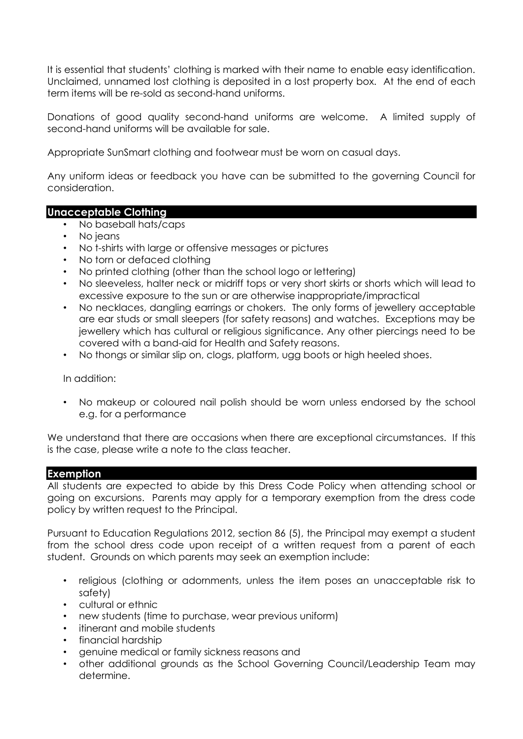It is essential that students' clothing is marked with their name to enable easy identification. Unclaimed, unnamed lost clothing is deposited in a lost property box. At the end of each term items will be re-sold as second-hand uniforms.

Donations of good quality second-hand uniforms are welcome. A limited supply of second-hand uniforms will be available for sale.

Appropriate SunSmart clothing and footwear must be worn on casual days.

Any uniform ideas or feedback you have can be submitted to the governing Council for consideration.

#### **Unacceptable Clothing**

- No baseball hats/caps
- No jeans
- No t-shirts with large or offensive messages or pictures
- No torn or defaced clothing
- No printed clothing (other than the school logo or lettering)
- No sleeveless, halter neck or midriff tops or very short skirts or shorts which will lead to excessive exposure to the sun or are otherwise inappropriate/impractical
- No necklaces, dangling earrings or chokers. The only forms of jewellery acceptable are ear studs or small sleepers (for safety reasons) and watches. Exceptions may be jewellery which has cultural or religious significance. Any other piercings need to be covered with a band-aid for Health and Safety reasons.
- No thongs or similar slip on, clogs, platform, ugg boots or high heeled shoes.

In addition:

• No makeup or coloured nail polish should be worn unless endorsed by the school e.g. for a performance

We understand that there are occasions when there are exceptional circumstances. If this is the case, please write a note to the class teacher.

#### **Exemption**

All students are expected to abide by this Dress Code Policy when attending school or going on excursions. Parents may apply for a temporary exemption from the dress code policy by written request to the Principal.

Pursuant to Education Regulations 2012, section 86 (5), the Principal may exempt a student from the school dress code upon receipt of a written request from a parent of each student. Grounds on which parents may seek an exemption include:

- religious (clothing or adornments, unless the item poses an unacceptable risk to safety)
- cultural or ethnic
- new students (time to purchase, wear previous uniform)
- itinerant and mobile students
- financial hardship
- genuine medical or family sickness reasons and
- other additional grounds as the School Governing Council/Leadership Team may determine.